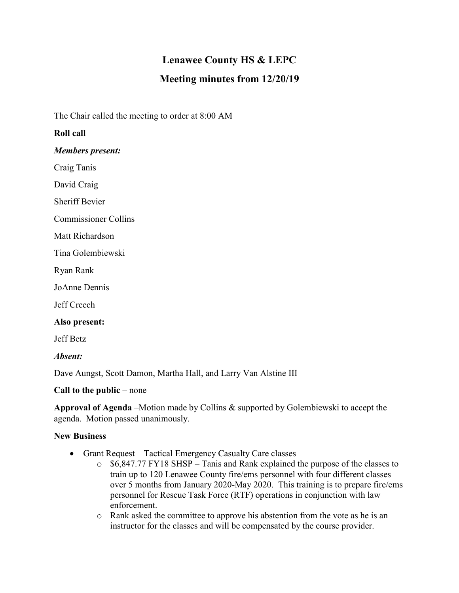## **Lenawee County HS & LEPC Meeting minutes from 12/20/19**

The Chair called the meeting to order at 8:00 AM

## **Roll call**

*Members present:*

Craig Tanis

David Craig

Sheriff Bevier

Commissioner Collins

Matt Richardson

Tina Golembiewski

Ryan Rank

JoAnne Dennis

Jeff Creech

**Also present:**

Jeff Betz

*Absent:*

Dave Aungst, Scott Damon, Martha Hall, and Larry Van Alstine III

**Call to the public** – none

**Approval of Agenda** –Motion made by Collins & supported by Golembiewski to accept the agenda. Motion passed unanimously.

## **New Business**

- Grant Request Tactical Emergency Casualty Care classes
	- o \$6,847.77 FY18 SHSP Tanis and Rank explained the purpose of the classes to train up to 120 Lenawee County fire/ems personnel with four different classes over 5 months from January 2020-May 2020. This training is to prepare fire/ems personnel for Rescue Task Force (RTF) operations in conjunction with law enforcement.
	- o Rank asked the committee to approve his abstention from the vote as he is an instructor for the classes and will be compensated by the course provider.